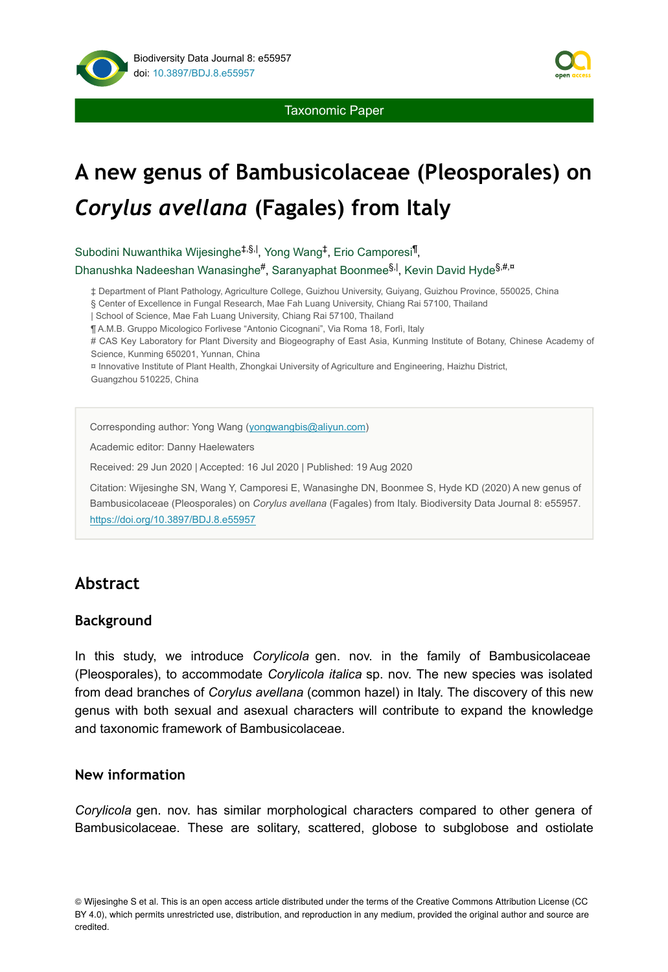



# **A new genus of Bambusicolaceae (Pleosporales) on** *Corylus avellana* **(Fagales) from Italy**

Subodini Nuwanthika Wijesinghe<sup>‡,§,|</sup>, Yong Wang<sup>‡</sup>, Erio Camporesi<sup>¶</sup>,

Dhanushka Nadeeshan Wanasinghe#, Saranyaphat Boonmee<sup>§, |</sup>, Kevin David Hyde<sup>§,#,¤</sup>

‡ Department of Plant Pathology, Agriculture College, Guizhou University, Guiyang, Guizhou Province, 550025, China

§ Center of Excellence in Fungal Research, Mae Fah Luang University, Chiang Rai 57100, Thailand

| School of Science, Mae Fah Luang University, Chiang Rai 57100, Thailand

¶ A.M.B. Gruppo Micologico Forlivese "Antonio Cicognani", Via Roma 18, Forlì, Italy

# CAS Key Laboratory for Plant Diversity and Biogeography of East Asia, Kunming Institute of Botany, Chinese Academy of Science, Kunming 650201, Yunnan, China

¤ Innovative Institute of Plant Health, Zhongkai University of Agriculture and Engineering, Haizhu District, Guangzhou 510225, China

Corresponding author: Yong Wang [\(yongwangbis@aliyun.com\)](mailto:yongwangbis@aliyun.com)

Academic editor: Danny Haelewaters

Received: 29 Jun 2020 | Accepted: 16 Jul 2020 | Published: 19 Aug 2020

Citation: Wijesinghe SN, Wang Y, Camporesi E, Wanasinghe DN, Boonmee S, Hyde KD (2020) A new genus of Bambusicolaceae (Pleosporales) on *Corylus avellana* (Fagales) from Italy. Biodiversity Data Journal 8: e55957. <https://doi.org/10.3897/BDJ.8.e55957>

# **Abstract**

### **Background**

In this study, we introduce *Corylicola* gen. nov. in the family of Bambusicolaceae (Pleosporales), to accommodate *Corylicola italica* sp. nov. The new species was isolated from dead branches of *Corylus avellana* (common hazel) in Italy. The discovery of this new genus with both sexual and asexual characters will contribute to expand the knowledge and taxonomic framework of Bambusicolaceae.

#### **New information**

*Corylicola* gen. nov. has similar morphological characters compared to other genera of Bambusicolaceae. These are solitary, scattered, globose to subglobose and ostiolate

© Wijesinghe S et al. This is an open access article distributed under the terms of the Creative Commons Attribution License (CC BY 4.0), which permits unrestricted use, distribution, and reproduction in any medium, provided the original author and source are credited.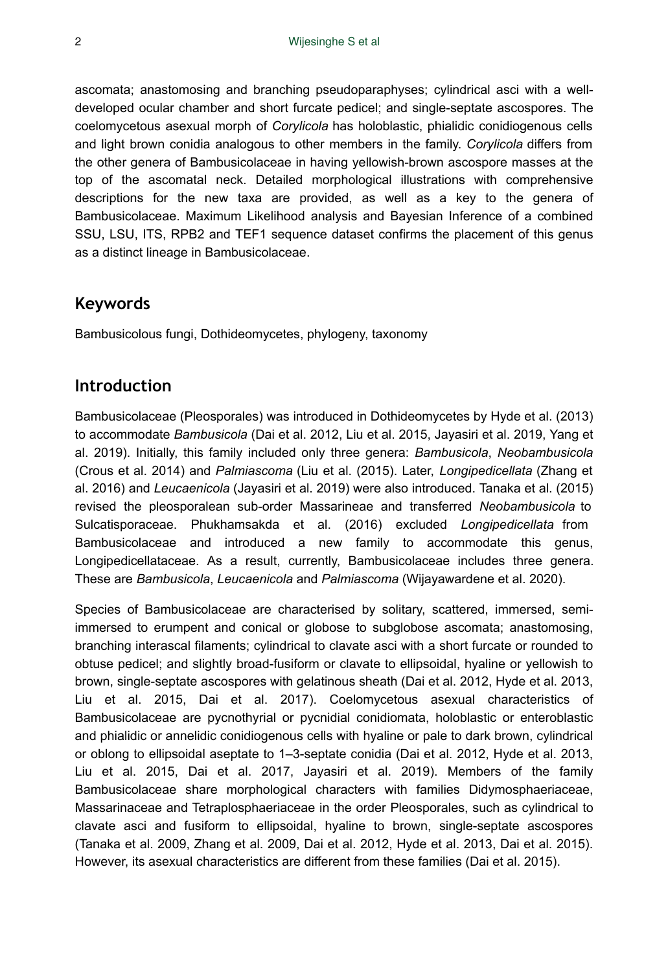ascomata; anastomosing and branching pseudoparaphyses; cylindrical asci with a welldeveloped ocular chamber and short furcate pedicel; and single-septate ascospores. The coelomycetous asexual morph of *Corylicola* has holoblastic, phialidic conidiogenous cells and light brown conidia analogous to other members in the family. *Corylicola* differs from the other genera of Bambusicolaceae in having yellowish-brown ascospore masses at the top of the ascomatal neck. Detailed morphological illustrations with comprehensive descriptions for the new taxa are provided, as well as a key to the genera of Bambusicolaceae. Maximum Likelihood analysis and Bayesian Inference of a combined SSU, LSU, ITS, RPB2 and TEF1 sequence dataset confirms the placement of this genus as a distinct lineage in Bambusicolaceae.

### **Keywords**

Bambusicolous fungi, Dothideomycetes, phylogeny, taxonomy

## **Introduction**

Bambusicolaceae (Pleosporales) was introduced in Dothideomycetes by Hyde et al. (2013) to accommodate *Bambusicola* (Dai et al. 2012, Liu et al. 2015, Jayasiri et al. 2019, Yang et al. 2019). Initially, this family included only three genera: *Bambusicola*, *Neobambusicola* (Crous et al. 2014) and *Palmiascoma* (Liu et al. (2015). Later, *Longipedicellata* (Zhang et al. 2016) and *Leucaenicola* (Jayasiri et al. 2019) were also introduced. Tanaka et al. (2015) revised the pleosporalean sub-order Massarineae and transferred *Neobambusicola* to Sulcatisporaceae. Phukhamsakda et al. (2016) excluded *Longipedicellata* from Bambusicolaceae and introduced a new family to accommodate this genus, Longipedicellataceae. As a result, currently, Bambusicolaceae includes three genera. These are *Bambusicola*, *Leucaenicola* and *Palmiascoma* (Wijayawardene et al. 2020).

Species of Bambusicolaceae are characterised by solitary, scattered, immersed, semiimmersed to erumpent and conical or globose to subglobose ascomata; anastomosing, branching interascal filaments; cylindrical to clavate asci with a short furcate or rounded to obtuse pedicel; and slightly broad-fusiform or clavate to ellipsoidal, hyaline or yellowish to brown, single-septate ascospores with gelatinous sheath (Dai et al. 2012, Hyde et al. 2013, Liu et al. 2015, Dai et al. 2017). Coelomycetous asexual characteristics of Bambusicolaceae are pycnothyrial or pycnidial conidiomata, holoblastic or enteroblastic and phialidic or annelidic conidiogenous cells with hyaline or pale to dark brown, cylindrical or oblong to ellipsoidal aseptate to 1–3-septate conidia (Dai et al. 2012, Hyde et al. 2013, Liu et al. 2015, Dai et al. 2017, Jayasiri et al. 2019). Members of the family Bambusicolaceae share morphological characters with families Didymosphaeriaceae, Massarinaceae and Tetraplosphaeriaceae in the order Pleosporales, such as cylindrical to clavate asci and fusiform to ellipsoidal, hyaline to brown, single-septate ascospores (Tanaka et al. 2009, Zhang et al. 2009, Dai et al. 2012, Hyde et al. 2013, Dai et al. 2015). However, its asexual characteristics are different from these families (Dai et al. 2015).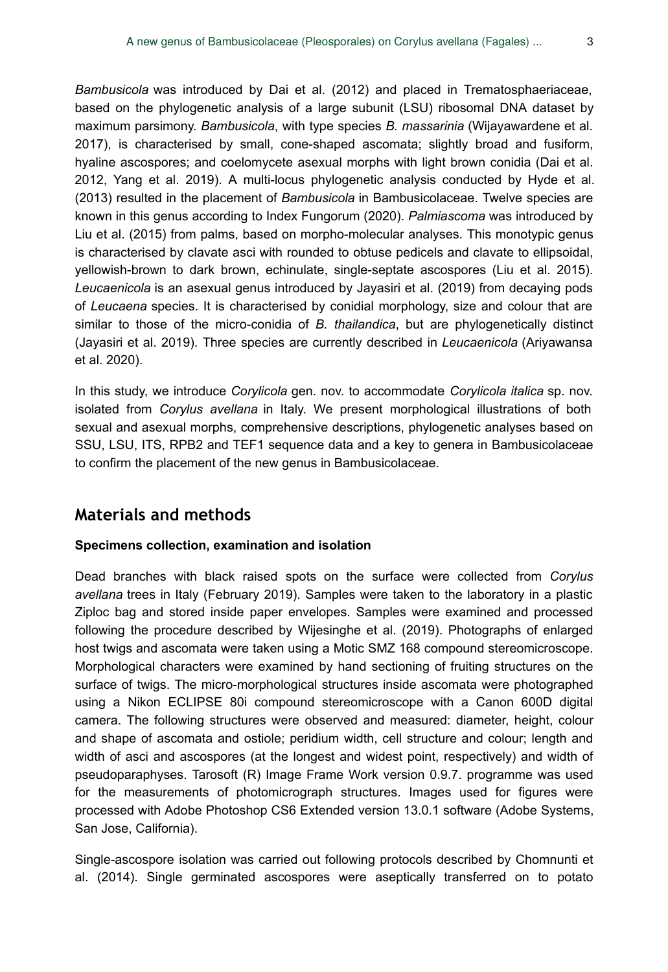*Bambusicola* was introduced by Dai et al. (2012) and placed in Trematosphaeriaceae, based on the phylogenetic analysis of a large subunit (LSU) ribosomal DNA dataset by maximum parsimony. *Bambusicola*, with type species *B. massarinia* (Wijayawardene et al. 2017), is characterised by small, cone-shaped ascomata; slightly broad and fusiform, hyaline ascospores; and coelomycete asexual morphs with light brown conidia (Dai et al. 2012, Yang et al. 2019). A multi-locus phylogenetic analysis conducted by Hyde et al. (2013) resulted in the placement of *Bambusicola* in Bambusicolaceae. Twelve species are known in this genus according to Index Fungorum (2020). *Palmiascoma* was introduced by Liu et al. (2015) from palms, based on morpho-molecular analyses. This monotypic genus is characterised by clavate asci with rounded to obtuse pedicels and clavate to ellipsoidal, yellowish-brown to dark brown, echinulate, single-septate ascospores (Liu et al. 2015). *Leucaenicola* is an asexual genus introduced by Jayasiri et al. (2019) from decaying pods of *Leucaena* species. It is characterised by conidial morphology, size and colour that are similar to those of the micro-conidia of *B. thailandica*, but are phylogenetically distinct (Jayasiri et al. 2019). Three species are currently described in *Leucaenicola* (Ariyawansa et al. 2020).

In this study, we introduce *Corylicola* gen. nov. to accommodate *Corylicola italica* sp. nov. isolated from *Corylus avellana* in Italy. We present morphological illustrations of both sexual and asexual morphs, comprehensive descriptions, phylogenetic analyses based on SSU, LSU, ITS, RPB2 and TEF1 sequence data and a key to genera in Bambusicolaceae to confirm the placement of the new genus in Bambusicolaceae.

## **Materials and methods**

#### **Specimens collection, examination and isolation**

Dead branches with black raised spots on the surface were collected from *Corylus avellana* trees in Italy (February 2019). Samples were taken to the laboratory in a plastic Ziploc bag and stored inside paper envelopes. Samples were examined and processed following the procedure described by Wijesinghe et al. (2019). Photographs of enlarged host twigs and ascomata were taken using a Motic SMZ 168 compound stereomicroscope. Morphological characters were examined by hand sectioning of fruiting structures on the surface of twigs. The micro-morphological structures inside ascomata were photographed using a Nikon ECLIPSE 80i compound stereomicroscope with a Canon 600D digital camera. The following structures were observed and measured: diameter, height, colour and shape of ascomata and ostiole; peridium width, cell structure and colour; length and width of asci and ascospores (at the longest and widest point, respectively) and width of pseudoparaphyses. Tarosoft (R) Image Frame Work version 0.9.7. programme was used for the measurements of photomicrograph structures. Images used for figures were processed with Adobe Photoshop CS6 Extended version 13.0.1 software (Adobe Systems, San Jose, California).

Single-ascospore isolation was carried out following protocols described by Chomnunti et al. (2014). Single germinated ascospores were aseptically transferred on to potato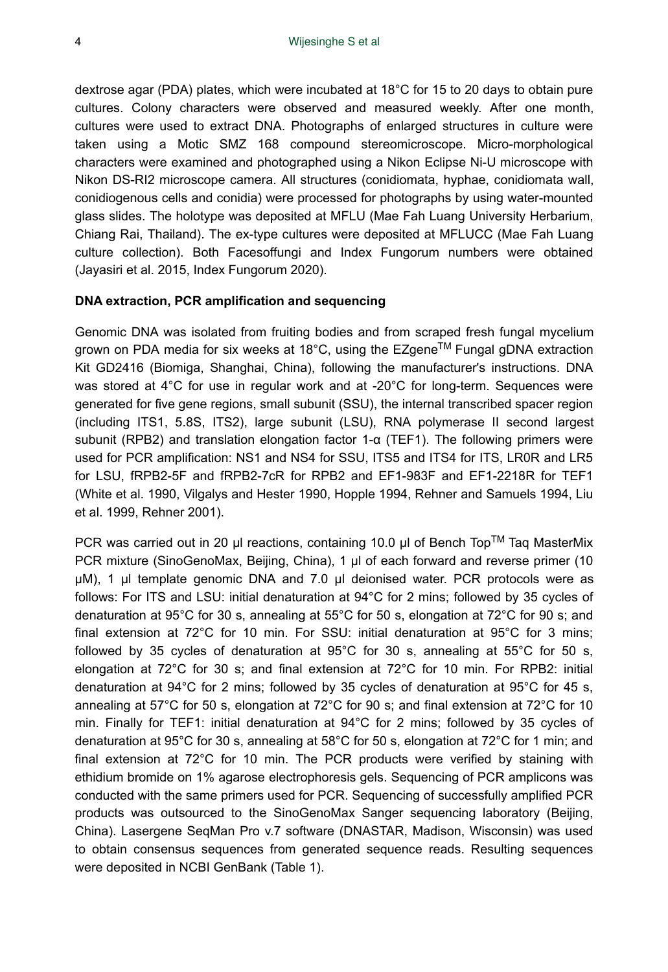dextrose agar (PDA) plates, which were incubated at 18°C for 15 to 20 days to obtain pure cultures. Colony characters were observed and measured weekly. After one month, cultures were used to extract DNA. Photographs of enlarged structures in culture were taken using a Motic SMZ 168 compound stereomicroscope. Micro-morphological characters were examined and photographed using a Nikon Eclipse Ni-U microscope with Nikon DS-RI2 microscope camera. All structures (conidiomata, hyphae, conidiomata wall, conidiogenous cells and conidia) were processed for photographs by using water-mounted glass slides. The holotype was deposited at MFLU (Mae Fah Luang University Herbarium, Chiang Rai, Thailand). The ex-type cultures were deposited at MFLUCC (Mae Fah Luang culture collection). Both Facesoffungi and Index Fungorum numbers were obtained (Jayasiri et al. 2015, Index Fungorum 2020).

#### **DNA extraction, PCR amplification and sequencing**

Genomic DNA was isolated from fruiting bodies and from scraped fresh fungal mycelium grown on PDA media for six weeks at 18°C, using the EZgene<sup>™</sup> Fungal gDNA extraction Kit GD2416 (Biomiga, Shanghai, China), following the manufacturer's instructions. DNA was stored at 4°C for use in regular work and at -20°C for long-term. Sequences were generated for five gene regions, small subunit (SSU), the internal transcribed spacer region (including ITS1, 5.8S, ITS2), large subunit (LSU), RNA polymerase II second largest subunit (RPB2) and translation elongation factor 1-α (TEF1). The following primers were used for PCR amplification: NS1 and NS4 for SSU, ITS5 and ITS4 for ITS, LR0R and LR5 for LSU, fRPB2-5F and fRPB2-7cR for RPB2 and EF1-983F and EF1-2218R for TEF1 (White et al. 1990, Vilgalys and Hester 1990, Hopple 1994, Rehner and Samuels 1994, Liu et al. 1999, Rehner 2001).

PCR was carried out in 20 μl reactions, containing 10.0 μl of Bench Top<sup>TM</sup> Taq MasterMix PCR mixture (SinoGenoMax, Beijing, China), 1 μl of each forward and reverse primer (10 μM), 1 μl template genomic DNA and 7.0 μl deionised water. PCR protocols were as follows: For ITS and LSU: initial denaturation at 94°C for 2 mins; followed by 35 cycles of denaturation at 95°C for 30 s, annealing at 55°C for 50 s, elongation at 72°C for 90 s; and final extension at 72°C for 10 min. For SSU: initial denaturation at 95°C for 3 mins; followed by 35 cycles of denaturation at 95°C for 30 s, annealing at 55°C for 50 s, elongation at 72°C for 30 s; and final extension at 72°C for 10 min. For RPB2: initial denaturation at 94°C for 2 mins; followed by 35 cycles of denaturation at 95°C for 45 s, annealing at 57°C for 50 s, elongation at 72°C for 90 s; and final extension at 72°C for 10 min. Finally for TEF1: initial denaturation at 94°C for 2 mins; followed by 35 cycles of denaturation at 95°C for 30 s, annealing at 58°C for 50 s, elongation at 72°C for 1 min; and final extension at 72°C for 10 min. The PCR products were verified by staining with ethidium bromide on 1% agarose electrophoresis gels. Sequencing of PCR amplicons was conducted with the same primers used for PCR. Sequencing of successfully amplified PCR products was outsourced to the SinoGenoMax Sanger sequencing laboratory (Beijing, China). Lasergene SeqMan Pro v.7 software (DNASTAR, Madison, Wisconsin) was used to obtain consensus sequences from generated sequence reads. Resulting sequences were deposited in NCBI GenBank (Table 1).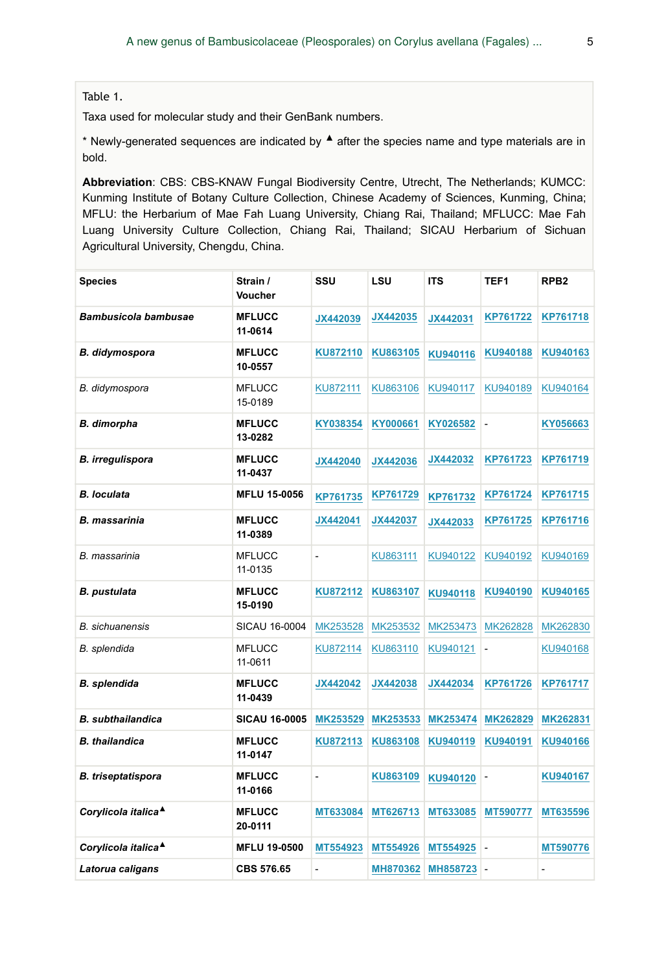Table 1.

Taxa used for molecular study and their GenBank numbers.

\* Newly-generated sequences are indicated by  $\triangle$  after the species name and type materials are in bold.

**Abbreviation**: CBS: CBS-KNAW Fungal Biodiversity Centre, Utrecht, The Netherlands; KUMCC: Kunming Institute of Botany Culture Collection, Chinese Academy of Sciences, Kunming, China; MFLU: the Herbarium of Mae Fah Luang University, Chiang Rai, Thailand; MFLUCC: Mae Fah Luang University Culture Collection, Chiang Rai, Thailand; SICAU Herbarium of Sichuan Agricultural University, Chengdu, China.

| <b>Species</b>                  | Strain /<br>Voucher      | SSU                      | LSU      | <b>ITS</b> | TEF <sub>1</sub> | RPB <sub>2</sub> |
|---------------------------------|--------------------------|--------------------------|----------|------------|------------------|------------------|
| Bambusicola bambusae            | <b>MFLUCC</b><br>11-0614 | JX442039                 | JX442035 | JX442031   | KP761722         | KP761718         |
| B. didymospora                  | <b>MFLUCC</b><br>10-0557 | KU872110                 | KU863105 | KU940116   | KU940188         | KU940163         |
| B. didymospora                  | <b>MFLUCC</b><br>15-0189 | KU872111                 | KU863106 | KU940117   | KU940189         | KU940164         |
| <b>B.</b> dimorpha              | <b>MFLUCC</b><br>13-0282 | KY038354                 | KY000661 | KY026582   | $\frac{1}{2}$    | KY056663         |
| <b>B.</b> irregulispora         | <b>MFLUCC</b><br>11-0437 | JX442040                 | JX442036 | JX442032   | KP761723         | KP761719         |
| <b>B. loculata</b>              | <b>MFLU 15-0056</b>      | KP761735                 | KP761729 | KP761732   | KP761724         | <b>KP761715</b>  |
| <b>B. massarinia</b>            | <b>MFLUCC</b><br>11-0389 | JX442041                 | JX442037 | JX442033   | KP761725         | KP761716         |
| B. massarinia                   | <b>MFLUCC</b><br>11-0135 | $\overline{\phantom{0}}$ | KU863111 | KU940122   | KU940192         | KU940169         |
| <b>B.</b> pustulata             | <b>MFLUCC</b><br>15-0190 | KU872112                 | KU863107 | KU940118   | KU940190         | KU940165         |
| <b>B.</b> sichuanensis          | SICAU 16-0004            | MK253528                 | MK253532 | MK253473   | MK262828         | MK262830         |
| B. splendida                    | <b>MFLUCC</b><br>11-0611 | KU872114                 | KU863110 | KU940121   | $\frac{1}{2}$    | KU940168         |
| <b>B.</b> splendida             | <b>MFLUCC</b><br>11-0439 | JX442042                 | JX442038 | JX442034   | KP761726         | <b>KP761717</b>  |
| <b>B.</b> subthailandica        | <b>SICAU 16-0005</b>     | MK253529                 | MK253533 | MK253474   | MK262829         | MK262831         |
| <b>B.</b> thailandica           | <b>MFLUCC</b><br>11-0147 | KU872113                 | KU863108 | KU940119   | KU940191         | KU940166         |
| <b>B.</b> triseptatispora       | <b>MFLUCC</b><br>11-0166 | $\overline{a}$           | KU863109 | KU940120   |                  | KU940167         |
| Corylicola italica <sup>4</sup> | <b>MFLUCC</b><br>20-0111 | MT633084                 | MT626713 | MT633085   | MT590777         | MT635596         |
| Corylicola italica <sup>4</sup> | <b>MFLU 19-0500</b>      | MT554923                 | MT554926 | MT554925   | $\overline{a}$   | MT590776         |
| Latorua caligans                | <b>CBS 576.65</b>        |                          | MH870362 | MH858723   |                  |                  |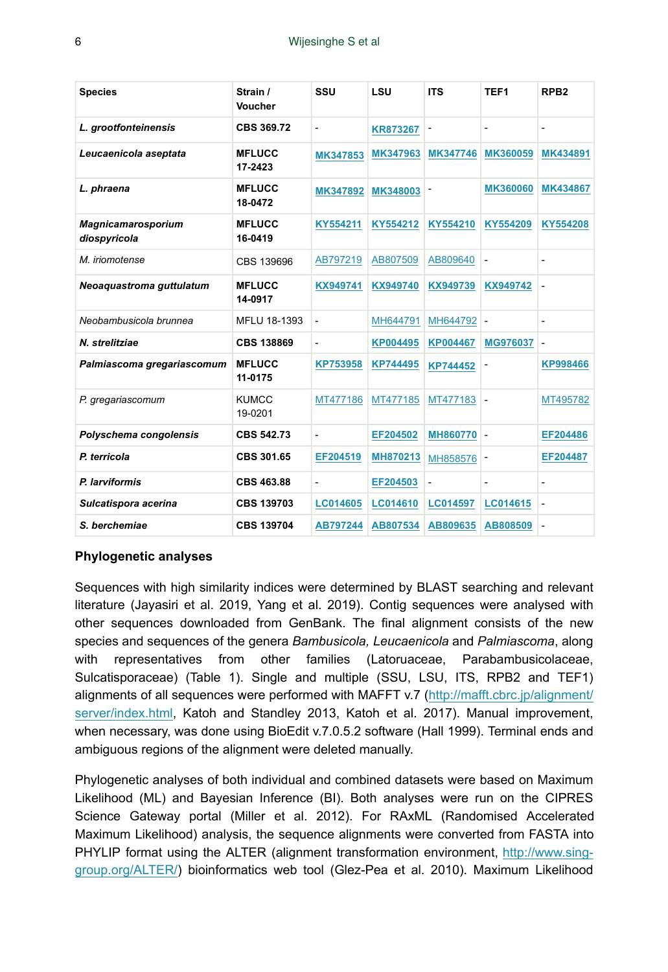| <b>Species</b>                            | Strain /<br>Voucher      | SSU             | LSU             | <b>ITS</b>      | TEF <sub>1</sub>         | RPB <sub>2</sub>         |
|-------------------------------------------|--------------------------|-----------------|-----------------|-----------------|--------------------------|--------------------------|
| L. grootfonteinensis                      | CBS 369.72               | ۰               | <b>KR873267</b> | L,              | $\overline{\phantom{a}}$ | ٠                        |
| Leucaenicola aseptata                     | <b>MFLUCC</b><br>17-2423 | MK347853        | MK347963        | <b>MK347746</b> | MK360059                 | MK434891                 |
| L. phraena                                | <b>MFLUCC</b><br>18-0472 | MK347892        | MK348003        |                 | <b>MK360060</b>          | <b>MK434867</b>          |
| <b>Magnicamarosporium</b><br>diospyricola | <b>MFLUCC</b><br>16-0419 | KY554211        | KY554212        | KY554210        | KY554209                 | KY554208                 |
| M. iriomotense                            | CBS 139696               | AB797219        | AB807509        | AB809640        | $\blacksquare$           | $\overline{\phantom{a}}$ |
| Neoaquastroma quttulatum                  | <b>MFLUCC</b><br>14-0917 | KX949741        | KX949740        | KX949739        | KX949742                 | ÷,                       |
| Neobambusicola brunnea                    | MFLU 18-1393             | ÷.              | MH644791        | MH644792        | $\blacksquare$           | $\blacksquare$           |
| N. strelitziae                            | <b>CBS 138869</b>        | ۰               | KP004495        | <b>KP004467</b> | MG976037                 | $\overline{\phantom{a}}$ |
| Palmiascoma gregariascomum                | <b>MFLUCC</b><br>11-0175 | <b>KP753958</b> | <b>KP744495</b> | <b>KP744452</b> |                          | <b>KP998466</b>          |
| P. gregariascomum                         | <b>KUMCC</b><br>19-0201  | MT477186        | MT477185        | MT477183        | $\blacksquare$           | MT495782                 |
| Polyschema congolensis                    | CBS 542.73               | ٠               | EF204502        | <b>MH860770</b> | $\blacksquare$           | EF204486                 |
| P. terricola                              | CBS 301.65               | EF204519        | MH870213        | MH858576        |                          | EF204487                 |
| P. larviformis                            | CBS 463.88               |                 | EF204503        | $\overline{a}$  | $\overline{\phantom{a}}$ | ٠                        |
| Sulcatispora acerina                      | <b>CBS 139703</b>        | <b>LC014605</b> | LC014610        | <b>LC014597</b> | LC014615                 | $\overline{a}$           |
| S. berchemiae                             | <b>CBS 139704</b>        | AB797244        | AB807534        | AB809635        | AB808509                 | $\overline{\phantom{a}}$ |

#### **Phylogenetic analyses**

Sequences with high similarity indices were determined by BLAST searching and relevant literature (Jayasiri et al. 2019, Yang et al. 2019). Contig sequences were analysed with other sequences downloaded from GenBank. The final alignment consists of the new species and sequences of the genera *Bambusicola, Leucaenicola* and *Palmiascoma*, along with representatives from other families (Latoruaceae, Parabambusicolaceae, Sulcatisporaceae) (Table 1). Single and multiple (SSU, LSU, ITS, RPB2 and TEF1) alignments of all sequences were performed with MAFFT v.7 ([http://mafft.cbrc.jp/alignment/](http://mafft.cbrc.jp/alignment/server/index.html) [server/index.html,](http://mafft.cbrc.jp/alignment/server/index.html) Katoh and Standley 2013, Katoh et al. 2017). Manual improvement, when necessary, was done using BioEdit v.7.0.5.2 software (Hall 1999). Terminal ends and ambiguous regions of the alignment were deleted manually.

Phylogenetic analyses of both individual and combined datasets were based on Maximum Likelihood (ML) and Bayesian Inference (BI). Both analyses were run on the CIPRES Science Gateway portal (Miller et al. 2012). For RAxML (Randomised Accelerated Maximum Likelihood) analysis, the sequence alignments were converted from FASTA into PHYLIP format using the ALTER (alignment transformation environment, [http://www.sing](http://www.sing-group.org/ALTER/)[group.org/ALTER/](http://www.sing-group.org/ALTER/)) bioinformatics web tool (Glez-Pea et al. 2010). Maximum Likelihood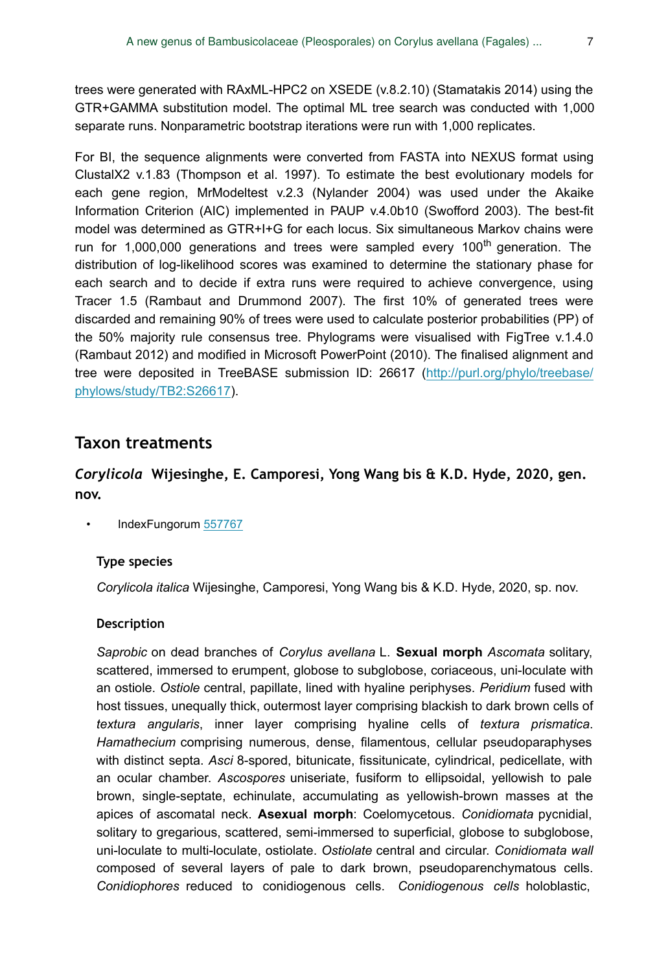trees were generated with RAxML-HPC2 on XSEDE (v.8.2.10) (Stamatakis 2014) using the GTR+GAMMA substitution model. The optimal ML tree search was conducted with 1,000 separate runs. Nonparametric bootstrap iterations were run with 1,000 replicates.

For BI, the sequence alignments were converted from FASTA into NEXUS format using ClustalX2 v.1.83 (Thompson et al. 1997). To estimate the best evolutionary models for each gene region, MrModeltest v.2.3 (Nylander 2004) was used under the Akaike Information Criterion (AIC) implemented in PAUP v.4.0b10 (Swofford 2003). The best-fit model was determined as GTR+I+G for each locus. Six simultaneous Markov chains were run for 1,000,000 generations and trees were sampled every 100<sup>th</sup> generation. The distribution of log-likelihood scores was examined to determine the stationary phase for each search and to decide if extra runs were required to achieve convergence, using Tracer 1.5 (Rambaut and Drummond 2007). The first 10% of generated trees were discarded and remaining 90% of trees were used to calculate posterior probabilities (PP) of the 50% majority rule consensus tree. Phylograms were visualised with FigTree v.1.4.0 (Rambaut 2012) and modified in Microsoft PowerPoint (2010). The finalised alignment and tree were deposited in TreeBASE submission ID: 26617 [\(http://purl.org/phylo/treebase/](http://purl.org/phylo/treebase/phylows/study/TB2:S26617) [phylows/study/TB2:S26617\)](http://purl.org/phylo/treebase/phylows/study/TB2:S26617).

### **Taxon treatments**

### *Corylicola* **Wijesinghe, E. Camporesi, Yong Wang bis & K.D. Hyde, 2020, gen. nov.**

IndexFungorum [557767](http://www.indexfungorum.org/names/NamesRecord.asp?RecordID=557767)

#### **Type species**

*Corylicola italica* Wijesinghe, Camporesi, Yong Wang bis & K.D. Hyde, 2020, sp. nov.

#### **Description**

*Saprobic* on dead branches of *Corylus avellana* L. **Sexual morph** *Ascomata* solitary, scattered, immersed to erumpent, globose to subglobose, coriaceous, uni-loculate with an ostiole. *Ostiole* central, papillate, lined with hyaline periphyses. *Peridium* fused with host tissues, unequally thick, outermost layer comprising blackish to dark brown cells of *textura angularis*, inner layer comprising hyaline cells of *textura prismatica*. *Hamathecium* comprising numerous, dense, filamentous, cellular pseudoparaphyses with distinct septa. *Asci* 8-spored, bitunicate, fissitunicate, cylindrical, pedicellate, with an ocular chamber. *Ascospores* uniseriate, fusiform to ellipsoidal, yellowish to pale brown, single-septate, echinulate, accumulating as yellowish-brown masses at the apices of ascomatal neck. **Asexual morph**: Coelomycetous. *Conidiomata* pycnidial, solitary to gregarious, scattered, semi-immersed to superficial, globose to subglobose, uni-loculate to multi-loculate, ostiolate. *Ostiolate* central and circular. *Conidiomata wall* composed of several layers of pale to dark brown, pseudoparenchymatous cells. *Conidiophores* reduced to conidiogenous cells. *Conidiogenous cells* holoblastic,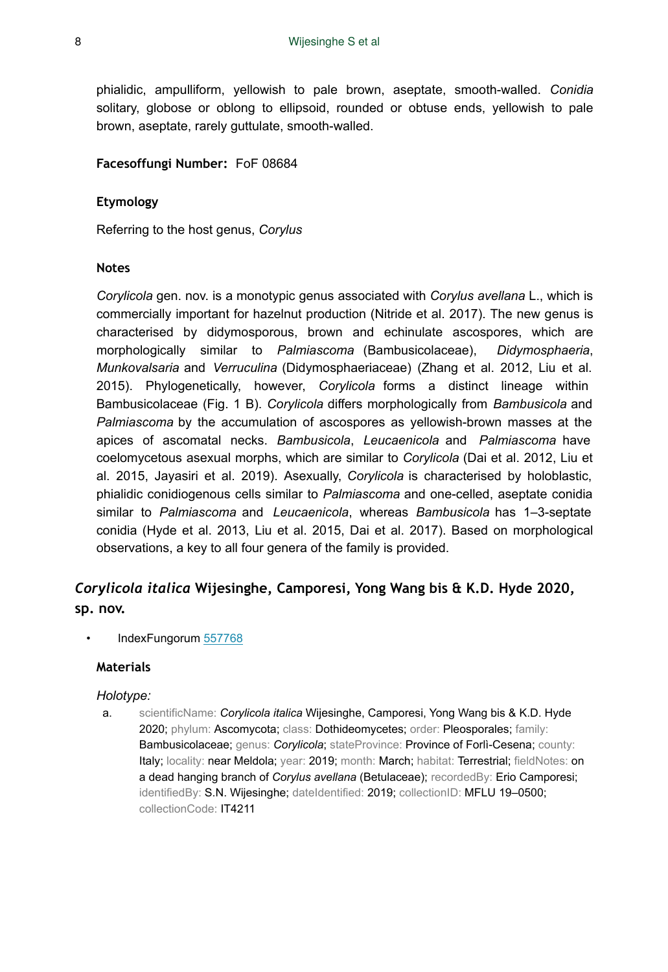phialidic, ampulliform, yellowish to pale brown, aseptate, smooth-walled. *Conidia* solitary, globose or oblong to ellipsoid, rounded or obtuse ends, yellowish to pale brown, aseptate, rarely guttulate, smooth-walled.

#### **Facesoffungi Number:** FoF 08684

#### **Etymology**

Referring to the host genus, *Corylus*

#### **Notes**

*Corylicola* gen. nov. is a monotypic genus associated with *Corylus avellana* L., which is commercially important for hazelnut production (Nitride et al. 2017). The new genus is characterised by didymosporous, brown and echinulate ascospores, which are morphologically similar to *Palmiascoma* (Bambusicolaceae), *Didymosphaeria*, *Munkovalsaria* and *Verruculina* (Didymosphaeriaceae) (Zhang et al. 2012, Liu et al. 2015). Phylogenetically, however, *Corylicola* forms a distinct lineage within Bambusicolaceae (Fig. 1 B). *Corylicola* differs morphologically from *Bambusicola* and *Palmiascoma* by the accumulation of ascospores as yellowish-brown masses at the apices of ascomatal necks. *Bambusicola*, *Leucaenicola* and *Palmiascoma* have coelomycetous asexual morphs, which are similar to *Corylicola* (Dai et al. 2012, Liu et al. 2015, Jayasiri et al. 2019). Asexually, *Corylicola* is characterised by holoblastic, phialidic conidiogenous cells similar to *Palmiascoma* and one-celled, aseptate conidia similar to *Palmiascoma* and *Leucaenicola*, whereas *Bambusicola* has 1–3-septate conidia (Hyde et al. 2013, Liu et al. 2015, Dai et al. 2017). Based on morphological observations, a key to all four genera of the family is provided.

## *Corylicola italica* **Wijesinghe, Camporesi, Yong Wang bis & K.D. Hyde 2020, sp. nov.**

• IndexFungorum [557768](http://www.indexfungorum.org/names/NamesRecord.asp?RecordID=557768)

#### **Materials**

#### *Holotype:*

a. scientificName: *Corylicola italica* Wijesinghe, Camporesi, Yong Wang bis & K.D. Hyde 2020; phylum: Ascomycota; class: Dothideomycetes; order: Pleosporales; family: Bambusicolaceae; genus: *Corylicola*; stateProvince: Province of Forlì-Cesena; county: Italy; locality: near Meldola; year: 2019; month: March; habitat: Terrestrial; fieldNotes: on a dead hanging branch of *Corylus avellana* (Betulaceae); recordedBy: Erio Camporesi; identifiedBy: S.N. Wijesinghe; dateIdentified: 2019; collectionID: MFLU 19–0500; collectionCode: IT4211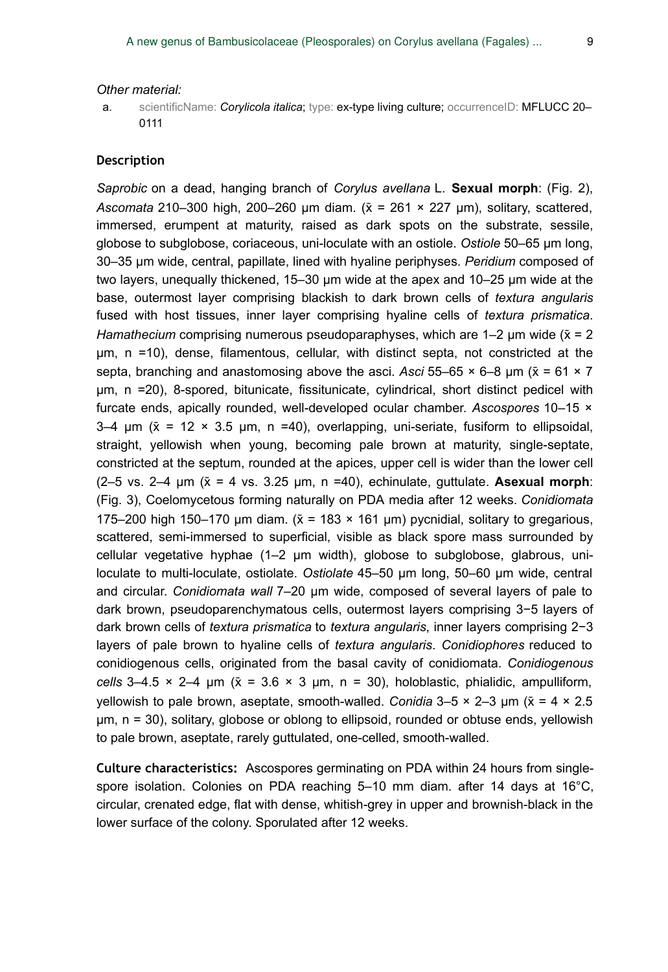#### *Other material:*

a. scientificName: *Corylicola italica*; type: ex-type living culture; occurrenceID: MFLUCC 20– 0111

#### **Description**

*Saprobic* on a dead, hanging branch of *Corylus avellana* L. **Sexual morph**: (Fig. 2), *Ascomata* 210–300 high, 200–260 µm diam. (x̄ = 261 × 227 µm), solitary, scattered, immersed, erumpent at maturity, raised as dark spots on the substrate, sessile, globose to subglobose, coriaceous, uni-loculate with an ostiole. *Ostiole* 50–65 µm long, 30–35 µm wide, central, papillate, lined with hyaline periphyses. *Peridium* composed of two layers, unequally thickened, 15–30 µm wide at the apex and 10–25 µm wide at the base, outermost layer comprising blackish to dark brown cells of *textura angularis* fused with host tissues, inner layer comprising hyaline cells of *textura prismatica*. *Hamathecium* comprising numerous pseudoparaphyses, which are  $1-2$  µm wide ( $\bar{x} = 2$ ) µm, n =10), dense, filamentous, cellular, with distinct septa, not constricted at the septa, branching and anastomosing above the asci. *Asci* 55–65  $\times$  6–8 µm ( $\bar{x}$  = 61  $\times$  7 µm, n =20), 8-spored, bitunicate, fissitunicate, cylindrical, short distinct pedicel with furcate ends, apically rounded, well-developed ocular chamber. *Ascospores* 10–15 ×  $3-4$  µm ( $\bar{x}$  = 12 × 3.5 µm, n =40), overlapping, uni-seriate, fusiform to ellipsoidal, straight, yellowish when young, becoming pale brown at maturity, single-septate, constricted at the septum, rounded at the apices, upper cell is wider than the lower cell ( $2-5$  vs.  $2-4$   $\mu$ m ( $\bar{x} = 4$  vs. 3.25  $\mu$ m, n = 40), echinulate, guttulate. **Asexual morph**: (Fig. 3), Coelomycetous forming naturally on PDA media after 12 weeks. *Conidiomata* 175–200 high 150–170 µm diam.  $(\bar{x} = 183 \times 161 \,\text{µm})$  pycnidial, solitary to gregarious, scattered, semi-immersed to superficial, visible as black spore mass surrounded by cellular vegetative hyphae (1–2 µm width), globose to subglobose, glabrous, uniloculate to multi-loculate, ostiolate. *Ostiolate* 45–50 µm long, 50–60 µm wide, central and circular. *Conidiomata wall* 7–20 µm wide, composed of several layers of pale to dark brown, pseudoparenchymatous cells, outermost layers comprising 3−5 layers of dark brown cells of *textura prismatica* to *textura angularis*, inner layers comprising 2−3 layers of pale brown to hyaline cells of *textura angularis*. *Conidiophores* reduced to conidiogenous cells, originated from the basal cavity of conidiomata. *Conidiogenous cells*  $3-4.5 \times 2-4$  μm ( $\bar{x} = 3.6 \times 3$  μm, n = 30), holoblastic, phialidic, ampulliform, yellowish to pale brown, aseptate, smooth-walled. *Conidia* 3–5 × 2–3 μm (x̄ = 4 × 2.5 μm, n = 30), solitary, globose or oblong to ellipsoid, rounded or obtuse ends, yellowish to pale brown, aseptate, rarely guttulated, one-celled, smooth-walled.

**Culture characteristics:** Ascospores germinating on PDA within 24 hours from singlespore isolation. Colonies on PDA reaching 5–10 mm diam. after 14 days at 16°C, circular, crenated edge, flat with dense, whitish-grey in upper and brownish-black in the lower surface of the colony. Sporulated after 12 weeks.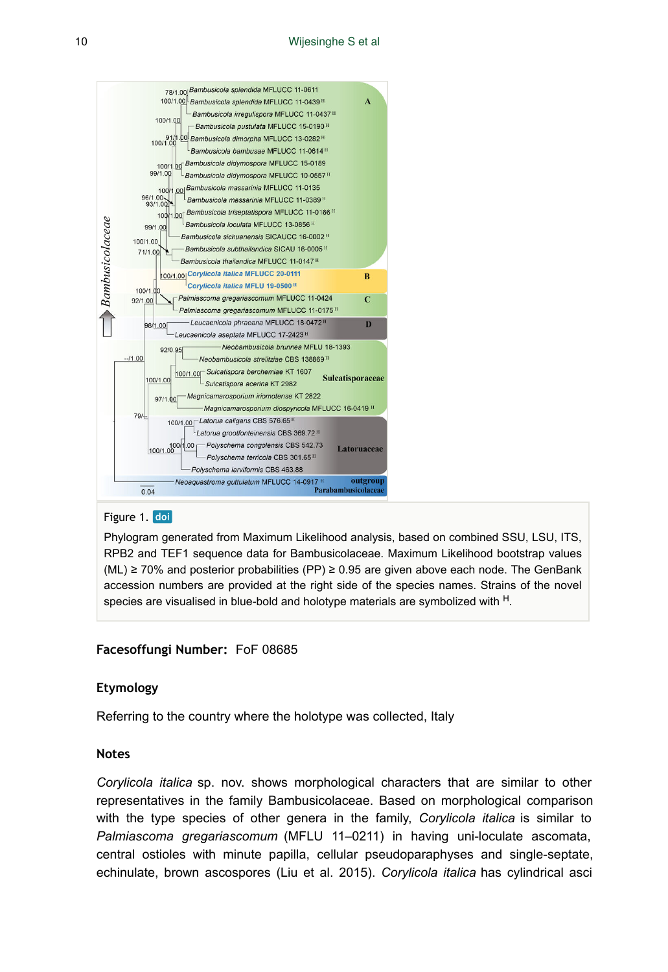

#### Figure 1. doi

Phylogram generated from Maximum Likelihood analysis, based on combined SSU, LSU, ITS, RPB2 and TEF1 sequence data for Bambusicolaceae. Maximum Likelihood bootstrap values (ML) ≥ 70% and posterior probabilities (PP) ≥ 0.95 are given above each node. The GenBank accession numbers are provided at the right side of the species names. Strains of the novel species are visualised in blue-bold and holotype materials are symbolized with  $<sup>H</sup>$ .</sup>

#### **Facesoffungi Number:** FoF 08685

#### **Etymology**

Referring to the country where the holotype was collected, Italy

#### **Notes**

*Corylicola italica* sp. nov. shows morphological characters that are similar to other representatives in the family Bambusicolaceae. Based on morphological comparison with the type species of other genera in the family, *Corylicola italica* is similar to *Palmiascoma gregariascomum* (MFLU 11–0211) in having uni-loculate ascomata, central ostioles with minute papilla, cellular pseudoparaphyses and single-septate, echinulate, brown ascospores (Liu et al. 2015). *Corylicola italica* has cylindrical asci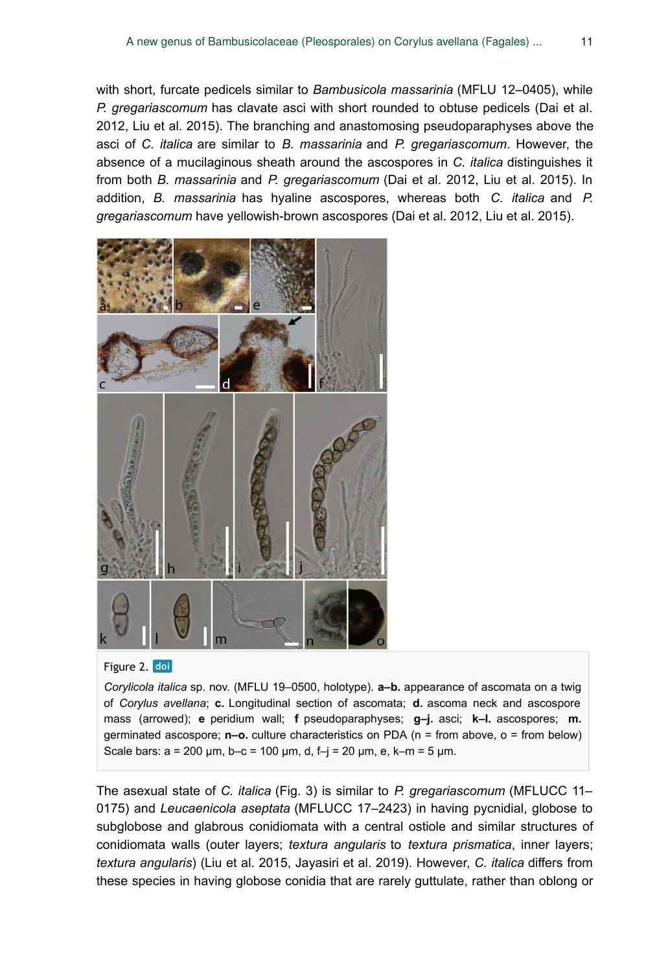with short, furcate pedicels similar to *Bambusicola massarinia* (MFLU 12–0405), while *P. gregariascomum* has clavate asci with short rounded to obtuse pedicels (Dai et al. 2012, Liu et al. 2015). The branching and anastomosing pseudoparaphyses above the asci of *C. italica* are similar to *B. massarinia* and *P. gregariascomum*. However, the absence of a mucilaginous sheath around the ascospores in *C. italica* distinguishes it from both *B. massarinia* and *P. gregariascomum* (Dai et al. 2012, Liu et al. 2015). In addition, *B. massarinia* has hyaline ascospores, whereas both *C. italica* and *P. gregariascomum* have yellowish-brown ascospores (Dai et al. 2012, Liu et al. 2015).



#### Figure 2. doi

*Corylicola italica* sp. nov. (MFLU 19–0500, holotype). **a–b.** appearance of ascomata on a twig of *Corylus avellana*; **c.** Longitudinal section of ascomata; **d.** ascoma neck and ascospore mass (arrowed); **e** peridium wall; **f** pseudoparaphyses; **g–j.** asci; **k–l.** ascospores; **m.** germinated ascospore; **n–o.** culture characteristics on PDA (n = from above, o = from below) Scale bars:  $a = 200 \mu m$ ,  $b-c = 100 \mu m$ , d,  $f - j = 20 \mu m$ , e,  $k - m = 5 \mu m$ .

The asexual state of *C. italica* (Fig. 3) is similar to *P. gregariascomum* (MFLUCC 11– 0175) and *Leucaenicola aseptata* (MFLUCC 17–2423) in having pycnidial, globose to subglobose and glabrous conidiomata with a central ostiole and similar structures of conidiomata walls (outer layers; *textura angularis* to *textura prismatica*, inner layers; *textura angularis*) (Liu et al. 2015, Jayasiri et al. 2019). However, *C. italica* differs from these species in having globose conidia that are rarely guttulate, rather than oblong or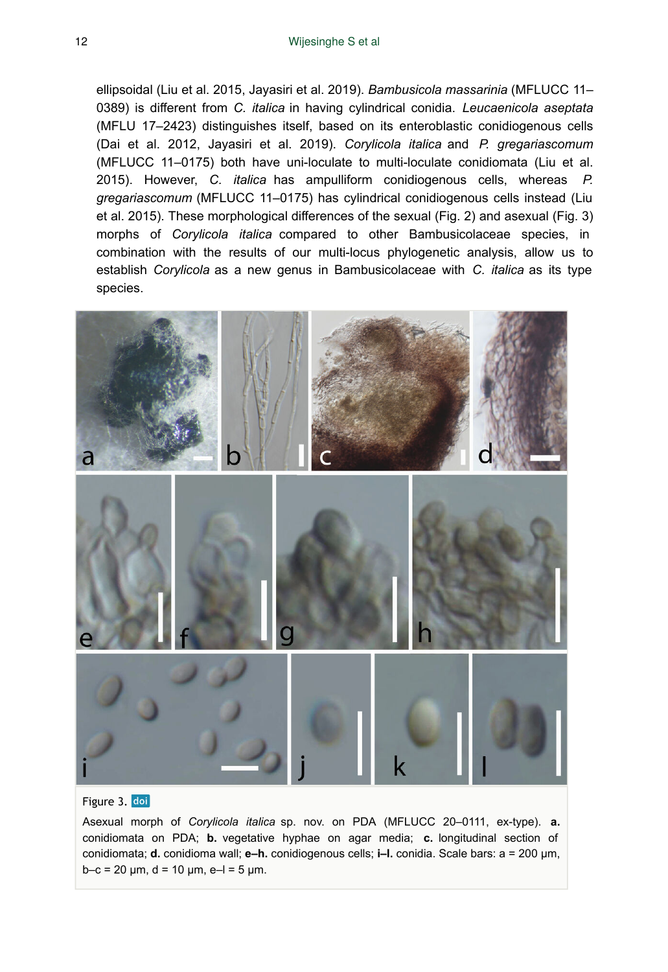ellipsoidal (Liu et al. 2015, Jayasiri et al. 2019). *Bambusicola massarinia* (MFLUCC 11– 0389) is different from *C. italica* in having cylindrical conidia. *Leucaenicola aseptata* (MFLU 17–2423) distinguishes itself, based on its enteroblastic conidiogenous cells (Dai et al. 2012, Jayasiri et al. 2019). *Corylicola italica* and *P. gregariascomum* (MFLUCC 11–0175) both have uni-loculate to multi-loculate conidiomata (Liu et al. 2015). However, *C. italica* has ampulliform conidiogenous cells, whereas *P. gregariascomum* (MFLUCC 11–0175) has cylindrical conidiogenous cells instead (Liu et al. 2015). These morphological differences of the sexual (Fig. 2) and asexual (Fig. 3) morphs of *Corylicola italica* compared to other Bambusicolaceae species, in combination with the results of our multi-locus phylogenetic analysis, allow us to establish *Corylicola* as a new genus in Bambusicolaceae with *C. italica* as its type species.



#### Figure 3. doi

Asexual morph of *Corylicola italica* sp. nov. on PDA (MFLUCC 20–0111, ex-type). **a.** conidiomata on PDA; **b.** vegetative hyphae on agar media; **c.** longitudinal section of conidiomata; **d.** conidioma wall; **e–h.** conidiogenous cells; **i–l.** conidia. Scale bars: a = 200 μm, b–c = 20  $\mu$ m, d = 10  $\mu$ m, e–l = 5  $\mu$ m.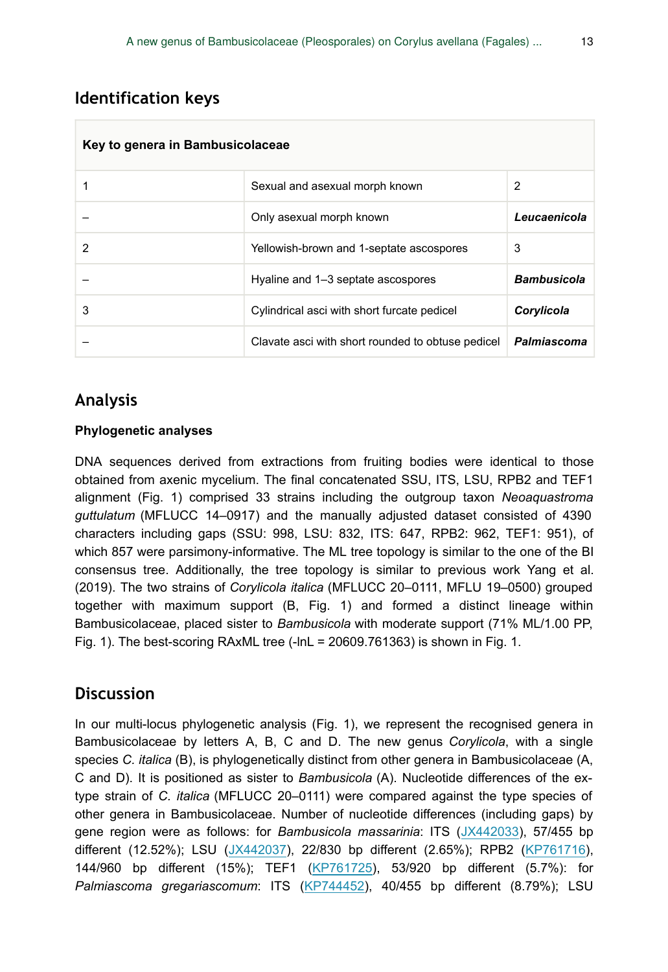# **Identification keys**

| Key to genera in Bambusicolaceae |                                                   |                    |  |  |
|----------------------------------|---------------------------------------------------|--------------------|--|--|
|                                  | Sexual and asexual morph known                    | 2                  |  |  |
|                                  | Only asexual morph known                          | Leucaenicola       |  |  |
| 2                                | Yellowish-brown and 1-septate ascospores          | 3                  |  |  |
|                                  | Hyaline and 1–3 septate ascospores                | <b>Bambusicola</b> |  |  |
| 3                                | Cylindrical asci with short furcate pedicel       | Corylicola         |  |  |
|                                  | Clavate asci with short rounded to obtuse pedicel | Palmiascoma        |  |  |

# **Analysis**

### **Phylogenetic analyses**

DNA sequences derived from extractions from fruiting bodies were identical to those obtained from axenic mycelium. The final concatenated SSU, ITS, LSU, RPB2 and TEF1 alignment (Fig. 1) comprised 33 strains including the outgroup taxon *Neoaquastroma guttulatum* (MFLUCC 14–0917) and the manually adjusted dataset consisted of 4390 characters including gaps (SSU: 998, LSU: 832, ITS: 647, RPB2: 962, TEF1: 951), of which 857 were parsimony-informative. The ML tree topology is similar to the one of the BI consensus tree. Additionally, the tree topology is similar to previous work Yang et al. (2019). The two strains of *Corylicola italica* (MFLUCC 20–0111, MFLU 19–0500) grouped together with maximum support (B, Fig. 1) and formed a distinct lineage within Bambusicolaceae, placed sister to *Bambusicola* with moderate support (71% ML/1.00 PP, Fig. 1). The best-scoring RAxML tree (-lnL = 20609.761363) is shown in Fig. 1.

### **Discussion**

In our multi-locus phylogenetic analysis (Fig. 1), we represent the recognised genera in Bambusicolaceae by letters A, B, C and D. The new genus *Corylicola*, with a single species *C. italica* (B), is phylogenetically distinct from other genera in Bambusicolaceae (A, C and D). It is positioned as sister to *Bambusicola* (A). Nucleotide differences of the extype strain of *C. italica* (MFLUCC 20–0111) were compared against the type species of other genera in Bambusicolaceae. Number of nucleotide differences (including gaps) by gene region were as follows: for *Bambusicola massarinia*: ITS ([JX442033](https://www.ncbi.nlm.nih.gov/nuccore/JX442033)), 57/455 bp different (12.52%); LSU ([JX442037\)](https://www.ncbi.nlm.nih.gov/nuccore/JX442037), 22/830 bp different (2.65%); RPB2 ([KP761716\)](https://www.ncbi.nlm.nih.gov/nuccore/KP761716), 144/960 bp different (15%); TEF1 ([KP761725\)](https://www.ncbi.nlm.nih.gov/nuccore/KP761725), 53/920 bp different (5.7%): for *Palmiascoma gregariascomum*: ITS ([KP744452](https://www.ncbi.nlm.nih.gov/nuccore/KP744452)), 40/455 bp different (8.79%); LSU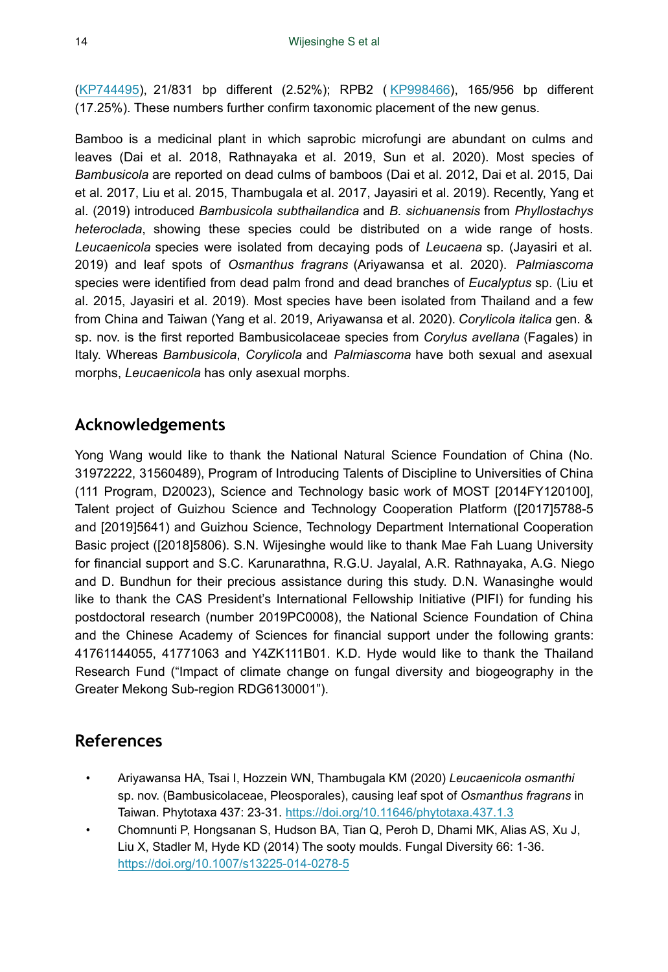[\(KP744495](https://www.ncbi.nlm.nih.gov/nuccore/KP744495)), 21/831 bp different (2.52%); RPB2 ( [KP998466](https://www.ncbi.nlm.nih.gov/nuccore/KP998466)), 165/956 bp different (17.25%). These numbers further confirm taxonomic placement of the new genus.

Bamboo is a medicinal plant in which saprobic microfungi are abundant on culms and leaves (Dai et al. 2018, Rathnayaka et al. 2019, Sun et al. 2020). Most species of *Bambusicola* are reported on dead culms of bamboos (Dai et al. 2012, Dai et al. 2015, Dai et al. 2017, Liu et al. 2015, Thambugala et al. 2017, Jayasiri et al. 2019). Recently, Yang et al. (2019) introduced *Bambusicola subthailandica* and *B. sichuanensis* from *Phyllostachys heteroclada*, showing these species could be distributed on a wide range of hosts. *Leucaenicola* species were isolated from decaying pods of *Leucaena* sp. (Jayasiri et al. 2019) and leaf spots of *Osmanthus fragrans* (Ariyawansa et al. 2020). *Palmiascoma* species were identified from dead palm frond and dead branches of *Eucalyptus* sp. (Liu et al. 2015, Jayasiri et al. 2019). Most species have been isolated from Thailand and a few from China and Taiwan (Yang et al. 2019, Ariyawansa et al. 2020). *Corylicola italica* gen. & sp. nov. is the first reported Bambusicolaceae species from *Corylus avellana* (Fagales) in Italy. Whereas *Bambusicola*, *Corylicola* and *Palmiascoma* have both sexual and asexual morphs, *Leucaenicola* has only asexual morphs.

# **Acknowledgements**

Yong Wang would like to thank the National Natural Science Foundation of China (No. 31972222, 31560489), Program of Introducing Talents of Discipline to Universities of China (111 Program, D20023), Science and Technology basic work of MOST [2014FY120100], Talent project of Guizhou Science and Technology Cooperation Platform ([2017]5788-5 and [2019]5641) and Guizhou Science, Technology Department International Cooperation Basic project ([2018]5806). S.N. Wijesinghe would like to thank Mae Fah Luang University for financial support and S.C. Karunarathna, R.G.U. Jayalal, A.R. Rathnayaka, A.G. Niego and D. Bundhun for their precious assistance during this study. D.N. Wanasinghe would like to thank the CAS President's International Fellowship Initiative (PIFI) for funding his postdoctoral research (number 2019PC0008), the National Science Foundation of China and the Chinese Academy of Sciences for financial support under the following grants: 41761144055, 41771063 and Y4ZK111B01. K.D. Hyde would like to thank the Thailand Research Fund ("Impact of climate change on fungal diversity and biogeography in the Greater Mekong Sub-region RDG6130001").

# **References**

- Ariyawansa HA, Tsai I, Hozzein WN, Thambugala KM (2020) *Leucaenicola osmanthi* sp. nov. (Bambusicolaceae, Pleosporales), causing leaf spot of *Osmanthus fragrans* in Taiwan. Phytotaxa 437: 23‑31. <https://doi.org/10.11646/phytotaxa.437.1.3>
- Chomnunti P, Hongsanan S, Hudson BA, Tian Q, Peroh D, Dhami MK, Alias AS, Xu J, Liu X, Stadler M, Hyde KD (2014) The sooty moulds. Fungal Diversity 66: 1‑36. <https://doi.org/10.1007/s13225-014-0278-5>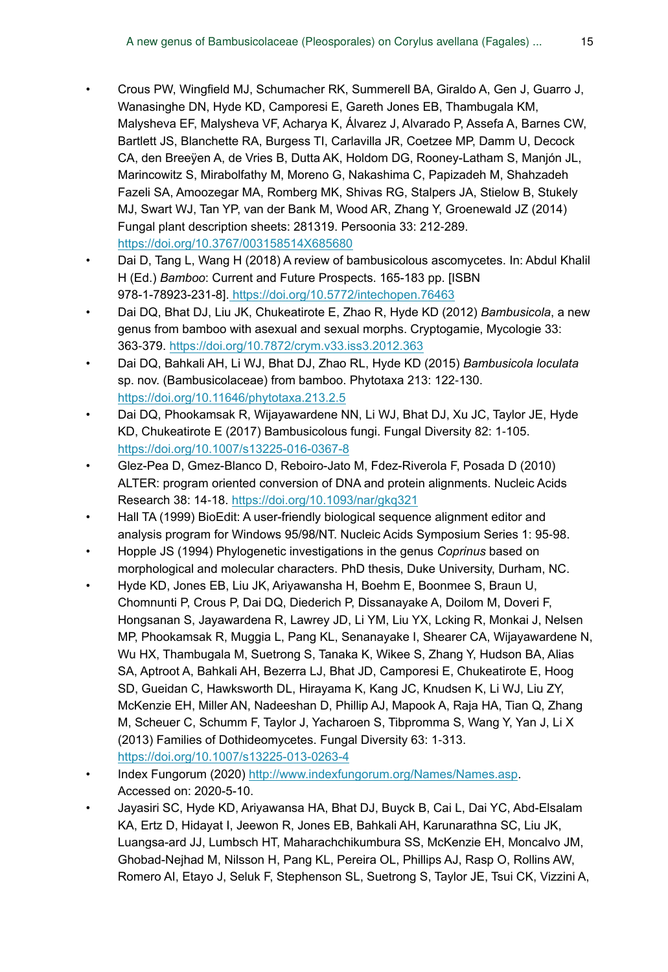- Crous PW, Wingfield MJ, Schumacher RK, Summerell BA, Giraldo A, Gen J, Guarro J, Wanasinghe DN, Hyde KD, Camporesi E, Gareth Jones EB, Thambugala KM, Malysheva EF, Malysheva VF, Acharya K, Álvarez J, Alvarado P, Assefa A, Barnes CW, Bartlett JS, Blanchette RA, Burgess TI, Carlavilla JR, Coetzee MP, Damm U, Decock CA, den Breeÿen A, de Vries B, Dutta AK, Holdom DG, Rooney-Latham S, Manjón JL, Marincowitz S, Mirabolfathy M, Moreno G, Nakashima C, Papizadeh M, Shahzadeh Fazeli SA, Amoozegar MA, Romberg MK, Shivas RG, Stalpers JA, Stielow B, Stukely MJ, Swart WJ, Tan YP, van der Bank M, Wood AR, Zhang Y, Groenewald JZ (2014) Fungal plant description sheets: 281319. Persoonia 33: 212‑289. <https://doi.org/10.3767/003158514X685680>
- Dai D, Tang L, Wang H (2018) A review of bambusicolous ascomycetes. In: Abdul Khalil H (Ed.) *Bamboo*: Current and Future Prospects. 165-183 pp. [ISBN 978-1-78923-231-8][. https://doi.org/10.5772/intechopen.76463](https://doi.org/10.5772/intechopen.76463)
- Dai DQ, Bhat DJ, Liu JK, Chukeatirote E, Zhao R, Hyde KD (2012) *Bambusicola*, a new genus from bamboo with asexual and sexual morphs. Cryptogamie, Mycologie 33: 363‑379. <https://doi.org/10.7872/crym.v33.iss3.2012.363>
- Dai DQ, Bahkali AH, Li WJ, Bhat DJ, Zhao RL, Hyde KD (2015) *Bambusicola loculata* sp. nov. (Bambusicolaceae) from bamboo. Phytotaxa 213: 122-130. <https://doi.org/10.11646/phytotaxa.213.2.5>
- Dai DQ, Phookamsak R, Wijayawardene NN, Li WJ, Bhat DJ, Xu JC, Taylor JE, Hyde KD, Chukeatirote E (2017) Bambusicolous fungi. Fungal Diversity 82: 1-105. <https://doi.org/10.1007/s13225-016-0367-8>
- Glez-Pea D, Gmez-Blanco D, Reboiro-Jato M, Fdez-Riverola F, Posada D (2010) ALTER: program oriented conversion of DNA and protein alignments. Nucleic Acids Research 38: 14‑18.<https://doi.org/10.1093/nar/gkq321>
- Hall TA (1999) BioEdit: A user-friendly biological sequence alignment editor and analysis program for Windows 95/98/NT. Nucleic Acids Symposium Series 1: 95‑98.
- Hopple JS (1994) Phylogenetic investigations in the genus *Coprinus* based on morphological and molecular characters. PhD thesis, Duke University, Durham, NC.
- Hyde KD, Jones EB, Liu JK, Ariyawansha H, Boehm E, Boonmee S, Braun U, Chomnunti P, Crous P, Dai DQ, Diederich P, Dissanayake A, Doilom M, Doveri F, Hongsanan S, Jayawardena R, Lawrey JD, Li YM, Liu YX, Lcking R, Monkai J, Nelsen MP, Phookamsak R, Muggia L, Pang KL, Senanayake I, Shearer CA, Wijayawardene N, Wu HX, Thambugala M, Suetrong S, Tanaka K, Wikee S, Zhang Y, Hudson BA, Alias SA, Aptroot A, Bahkali AH, Bezerra LJ, Bhat JD, Camporesi E, Chukeatirote E, Hoog SD, Gueidan C, Hawksworth DL, Hirayama K, Kang JC, Knudsen K, Li WJ, Liu ZY, McKenzie EH, Miller AN, Nadeeshan D, Phillip AJ, Mapook A, Raja HA, Tian Q, Zhang M, Scheuer C, Schumm F, Taylor J, Yacharoen S, Tibpromma S, Wang Y, Yan J, Li X (2013) Families of Dothideomycetes. Fungal Diversity 63: 1‑313. <https://doi.org/10.1007/s13225-013-0263-4>
- Index Fungorum (2020)<http://www.indexfungorum.org/Names/Names.asp>. Accessed on: 2020-5-10.
- Jayasiri SC, Hyde KD, Ariyawansa HA, Bhat DJ, Buyck B, Cai L, Dai YC, Abd-Elsalam KA, Ertz D, Hidayat I, Jeewon R, Jones EB, Bahkali AH, Karunarathna SC, Liu JK, Luangsa-ard JJ, Lumbsch HT, Maharachchikumbura SS, McKenzie EH, Moncalvo JM, Ghobad-Nejhad M, Nilsson H, Pang KL, Pereira OL, Phillips AJ, Rasp O, Rollins AW, Romero AI, Etayo J, Seluk F, Stephenson SL, Suetrong S, Taylor JE, Tsui CK, Vizzini A,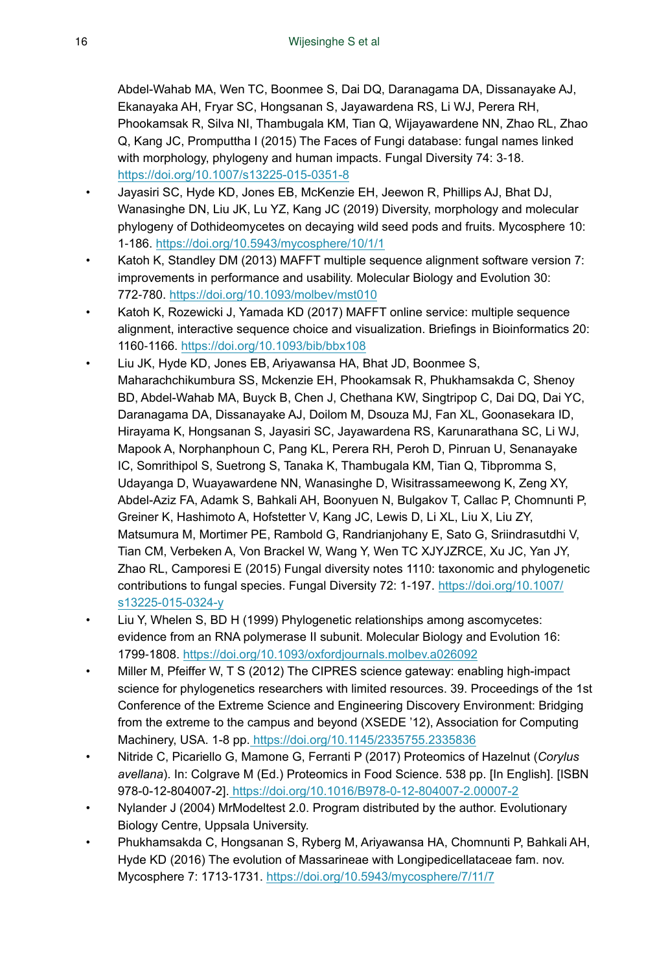Abdel-Wahab MA, Wen TC, Boonmee S, Dai DQ, Daranagama DA, Dissanayake AJ, Ekanayaka AH, Fryar SC, Hongsanan S, Jayawardena RS, Li WJ, Perera RH, Phookamsak R, Silva NI, Thambugala KM, Tian Q, Wijayawardene NN, Zhao RL, Zhao Q, Kang JC, Promputtha I (2015) The Faces of Fungi database: fungal names linked with morphology, phylogeny and human impacts. Fungal Diversity 74: 3-18. <https://doi.org/10.1007/s13225-015-0351-8>

- Jayasiri SC, Hyde KD, Jones EB, McKenzie EH, Jeewon R, Phillips AJ, Bhat DJ, Wanasinghe DN, Liu JK, Lu YZ, Kang JC (2019) Diversity, morphology and molecular phylogeny of Dothideomycetes on decaying wild seed pods and fruits. Mycosphere 10: 1‑186.<https://doi.org/10.5943/mycosphere/10/1/1>
- Katoh K, Standley DM (2013) MAFFT multiple sequence alignment software version 7: improvements in performance and usability. Molecular Biology and Evolution 30: 772‑780. <https://doi.org/10.1093/molbev/mst010>
- Katoh K, Rozewicki J, Yamada KD (2017) MAFFT online service: multiple sequence alignment, interactive sequence choice and visualization. Briefings in Bioinformatics 20: 1160‑1166. <https://doi.org/10.1093/bib/bbx108>
- Liu JK, Hyde KD, Jones EB, Ariyawansa HA, Bhat JD, Boonmee S, Maharachchikumbura SS, Mckenzie EH, Phookamsak R, Phukhamsakda C, Shenoy BD, Abdel-Wahab MA, Buyck B, Chen J, Chethana KW, Singtripop C, Dai DQ, Dai YC, Daranagama DA, Dissanayake AJ, Doilom M, Dsouza MJ, Fan XL, Goonasekara ID, Hirayama K, Hongsanan S, Jayasiri SC, Jayawardena RS, Karunarathana SC, Li WJ, Mapook A, Norphanphoun C, Pang KL, Perera RH, Peroh D, Pinruan U, Senanayake IC, Somrithipol S, Suetrong S, Tanaka K, Thambugala KM, Tian Q, Tibpromma S, Udayanga D, Wuayawardene NN, Wanasinghe D, Wisitrassameewong K, Zeng XY, Abdel-Aziz FA, Adamk S, Bahkali AH, Boonyuen N, Bulgakov T, Callac P, Chomnunti P, Greiner K, Hashimoto A, Hofstetter V, Kang JC, Lewis D, Li XL, Liu X, Liu ZY, Matsumura M, Mortimer PE, Rambold G, Randrianjohany E, Sato G, Sriindrasutdhi V, Tian CM, Verbeken A, Von Brackel W, Wang Y, Wen TC XJYJZRCE, Xu JC, Yan JY, Zhao RL, Camporesi E (2015) Fungal diversity notes 1110: taxonomic and phylogenetic contributions to fungal species. Fungal Diversity 72: 1-197. [https://doi.org/10.1007/](https://doi.org/10.1007/s13225-015-0324-y) [s13225-015-0324-y](https://doi.org/10.1007/s13225-015-0324-y)
- Liu Y, Whelen S, BD H (1999) Phylogenetic relationships among ascomycetes: evidence from an RNA polymerase II subunit. Molecular Biology and Evolution 16: 1799‑1808.<https://doi.org/10.1093/oxfordjournals.molbev.a026092>
- Miller M, Pfeiffer W, T S (2012) The CIPRES science gateway: enabling high-impact science for phylogenetics researchers with limited resources. 39. Proceedings of the 1st Conference of the Extreme Science and Engineering Discovery Environment: Bridging from the extreme to the campus and beyond (XSEDE '12), Association for Computing Machinery, USA. 1-8 pp.<https://doi.org/10.1145/2335755.2335836>
- Nitride C, Picariello G, Mamone G, Ferranti P (2017) Proteomics of Hazelnut (*Corylus avellana*). In: Colgrave M (Ed.) Proteomics in Food Science. 538 pp. [In English]. [ISBN 978-0-12-804007-2][. https://doi.org/10.1016/B978-0-12-804007-2.00007-2](https://doi.org/10.1016/B978-0-12-804007-2.00007-2)
- Nylander J (2004) MrModeltest 2.0. Program distributed by the author. Evolutionary Biology Centre, Uppsala University.
- Phukhamsakda C, Hongsanan S, Ryberg M, Ariyawansa HA, Chomnunti P, Bahkali AH, Hyde KD (2016) The evolution of Massarineae with Longipedicellataceae fam. nov. Mycosphere 7: 1713‑1731. <https://doi.org/10.5943/mycosphere/7/11/7>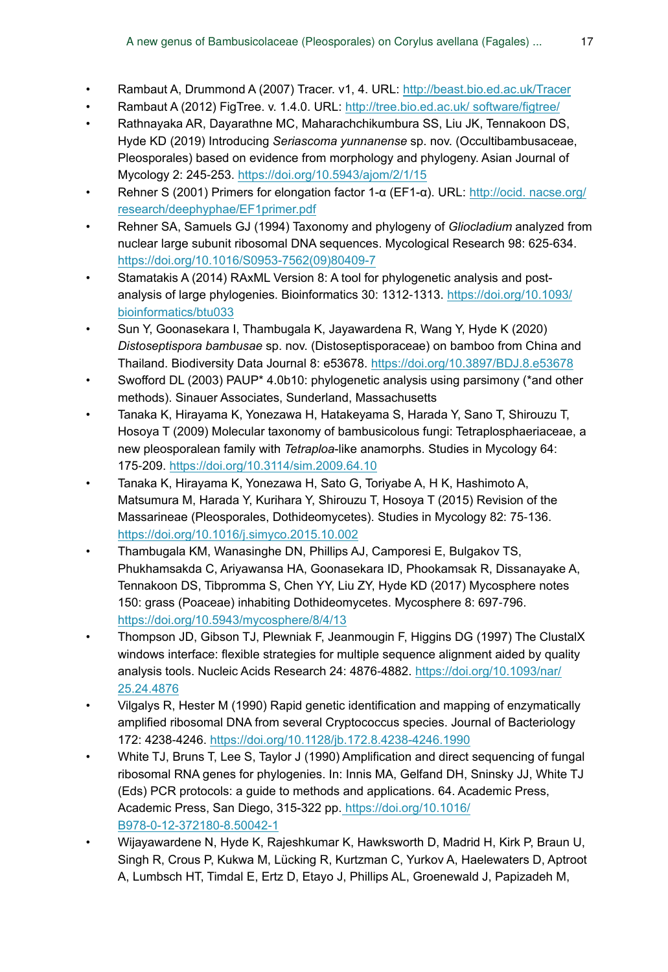- Rambaut A, Drummond A (2007) Tracer. v1, 4. URL: <http://beast.bio.ed.ac.uk/Tracer>
- Rambaut A (2012) FigTree. v. 1.4.0. URL: [http://tree.bio.ed.ac.uk/ software/figtree/](http://http://tree.bio.ed.ac.uk/%20software/figtree/)
- Rathnayaka AR, Dayarathne MC, Maharachchikumbura SS, Liu JK, Tennakoon DS, Hyde KD (2019) Introducing *Seriascoma yunnanense* sp. nov. (Occultibambusaceae, Pleosporales) based on evidence from morphology and phylogeny. Asian Journal of Mycology 2: 245‑253. <https://doi.org/10.5943/ajom/2/1/15>
- Rehner S (2001) Primers for elongation factor 1-α (EF1-α). URL: [http://ocid. nacse.org/](http://http://ocid.%20nacse.org/research/deephyphae/EF1primer.pdf) [research/deephyphae/EF1primer.pdf](http://http://ocid.%20nacse.org/research/deephyphae/EF1primer.pdf)
- Rehner SA, Samuels GJ (1994) Taxonomy and phylogeny of *Gliocladium* analyzed from nuclear large subunit ribosomal DNA sequences. Mycological Research 98: 625‑634. [https://doi.org/10.1016/S0953-7562\(09\)80409-7](https://doi.org/10.1016/S0953-7562(09)80409-7)
- Stamatakis A (2014) RAxML Version 8: A tool for phylogenetic analysis and postanalysis of large phylogenies. Bioinformatics 30: 1312-1313. [https://doi.org/10.1093/](https://doi.org/10.1093/bioinformatics/btu033) [bioinformatics/btu033](https://doi.org/10.1093/bioinformatics/btu033)
- Sun Y, Goonasekara I, Thambugala K, Jayawardena R, Wang Y, Hyde K (2020) *Distoseptispora bambusae* sp. nov. (Distoseptisporaceae) on bamboo from China and Thailand. Biodiversity Data Journal 8: e53678. <https://doi.org/10.3897/BDJ.8.e53678>
- Swofford DL (2003) PAUP\* 4.0b10: phylogenetic analysis using parsimony (\*and other methods). Sinauer Associates, Sunderland, Massachusetts
- Tanaka K, Hirayama K, Yonezawa H, Hatakeyama S, Harada Y, Sano T, Shirouzu T, Hosoya T (2009) Molecular taxonomy of bambusicolous fungi: Tetraplosphaeriaceae, a new pleosporalean family with *Tetraploa*-like anamorphs. Studies in Mycology 64: 175‑209. <https://doi.org/10.3114/sim.2009.64.10>
- Tanaka K, Hirayama K, Yonezawa H, Sato G, Toriyabe A, H K, Hashimoto A, Matsumura M, Harada Y, Kurihara Y, Shirouzu T, Hosoya T (2015) Revision of the Massarineae (Pleosporales, Dothideomycetes). Studies in Mycology 82: 75‑136. <https://doi.org/10.1016/j.simyco.2015.10.002>
- Thambugala KM, Wanasinghe DN, Phillips AJ, Camporesi E, Bulgakov TS, Phukhamsakda C, Ariyawansa HA, Goonasekara ID, Phookamsak R, Dissanayake A, Tennakoon DS, Tibpromma S, Chen YY, Liu ZY, Hyde KD (2017) Mycosphere notes 150: grass (Poaceae) inhabiting Dothideomycetes. Mycosphere 8: 697‑796. <https://doi.org/10.5943/mycosphere/8/4/13>
- Thompson JD, Gibson TJ, Plewniak F, Jeanmougin F, Higgins DG (1997) The ClustalX windows interface: flexible strategies for multiple sequence alignment aided by quality analysis tools. Nucleic Acids Research 24: 4876‑4882. [https://doi.org/10.1093/nar/](https://doi.org/10.1093/nar/25.24.4876) [25.24.4876](https://doi.org/10.1093/nar/25.24.4876)
- Vilgalys R, Hester M (1990) Rapid genetic identification and mapping of enzymatically amplified ribosomal DNA from several Cryptococcus species. Journal of Bacteriology 172: 4238‑4246.<https://doi.org/10.1128/jb.172.8.4238-4246.1990>
- White TJ, Bruns T, Lee S, Taylor J (1990) Amplification and direct sequencing of fungal ribosomal RNA genes for phylogenies. In: Innis MA, Gelfand DH, Sninsky JJ, White TJ (Eds) PCR protocols: a guide to methods and applications. 64. Academic Press, Academic Press, San Diego, 315-322 pp[. https://doi.org/10.1016/](https://doi.org/10.1016/B978-0-12-372180-8.50042-1) [B978-0-12-372180-8.50042-1](https://doi.org/10.1016/B978-0-12-372180-8.50042-1)
- Wijayawardene N, Hyde K, Rajeshkumar K, Hawksworth D, Madrid H, Kirk P, Braun U, Singh R, Crous P, Kukwa M, Lücking R, Kurtzman C, Yurkov A, Haelewaters D, Aptroot A, Lumbsch HT, Timdal E, Ertz D, Etayo J, Phillips AL, Groenewald J, Papizadeh M,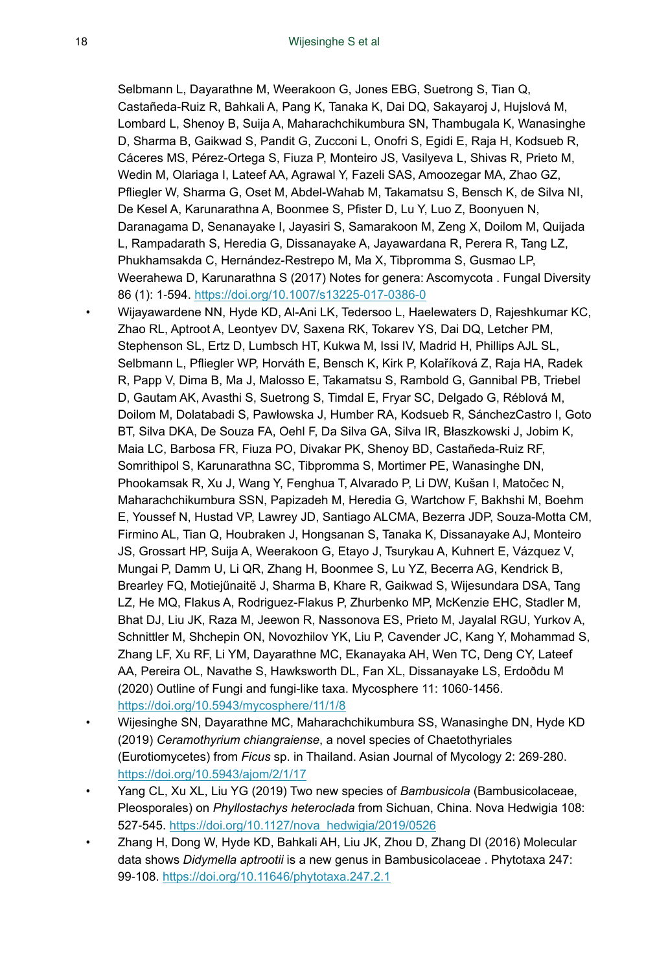Selbmann L, Dayarathne M, Weerakoon G, Jones EBG, Suetrong S, Tian Q, Castañeda-Ruiz R, Bahkali A, Pang K, Tanaka K, Dai DQ, Sakayaroj J, Hujslová M, Lombard L, Shenoy B, Suija A, Maharachchikumbura SN, Thambugala K, Wanasinghe D, Sharma B, Gaikwad S, Pandit G, Zucconi L, Onofri S, Egidi E, Raja H, Kodsueb R, Cáceres MS, Pérez-Ortega S, Fiuza P, Monteiro JS, Vasilyeva L, Shivas R, Prieto M, Wedin M, Olariaga I, Lateef AA, Agrawal Y, Fazeli SAS, Amoozegar MA, Zhao GZ, Pfliegler W, Sharma G, Oset M, Abdel-Wahab M, Takamatsu S, Bensch K, de Silva NI, De Kesel A, Karunarathna A, Boonmee S, Pfister D, Lu Y, Luo Z, Boonyuen N, Daranagama D, Senanayake I, Jayasiri S, Samarakoon M, Zeng X, Doilom M, Quijada L, Rampadarath S, Heredia G, Dissanayake A, Jayawardana R, Perera R, Tang LZ, Phukhamsakda C, Hernández-Restrepo M, Ma X, Tibpromma S, Gusmao LP, Weerahewa D, Karunarathna S (2017) Notes for genera: Ascomycota . Fungal Diversity 86 (1): 1‑594.<https://doi.org/10.1007/s13225-017-0386-0>

- Wijayawardene NN, Hyde KD, Al-Ani LK, Tedersoo L, Haelewaters D, Rajeshkumar KC, Zhao RL, Aptroot A, Leontyev DV, Saxena RK, Tokarev YS, Dai DQ, Letcher PM, Stephenson SL, Ertz D, Lumbsch HT, Kukwa M, Issi IV, Madrid H, Phillips AJL SL, Selbmann L, Pfliegler WP, Horváth E, Bensch K, Kirk P, Kolaříková Z, Raja HA, Radek R, Papp V, Dima B, Ma J, Malosso E, Takamatsu S, Rambold G, Gannibal PB, Triebel D, Gautam AK, Avasthi S, Suetrong S, Timdal E, Fryar SC, Delgado G, Réblová M, Doilom M, Dolatabadi S, Pawłowska J, Humber RA, Kodsueb R, SánchezCastro I, Goto BT, Silva DKA, De Souza FA, Oehl F, Da Silva GA, Silva IR, Błaszkowski J, Jobim K, Maia LC, Barbosa FR, Fiuza PO, Divakar PK, Shenoy BD, Castañeda-Ruiz RF, Somrithipol S, Karunarathna SC, Tibpromma S, Mortimer PE, Wanasinghe DN, Phookamsak R, Xu J, Wang Y, Fenghua T, Alvarado P, Li DW, Kušan I, Matočec N, Maharachchikumbura SSN, Papizadeh M, Heredia G, Wartchow F, Bakhshi M, Boehm E, Youssef N, Hustad VP, Lawrey JD, Santiago ALCMA, Bezerra JDP, Souza-Motta CM, Firmino AL, Tian Q, Houbraken J, Hongsanan S, Tanaka K, Dissanayake AJ, Monteiro JS, Grossart HP, Suija A, Weerakoon G, Etayo J, Tsurykau A, Kuhnert E, Vázquez V, Mungai P, Damm U, Li QR, Zhang H, Boonmee S, Lu YZ, Becerra AG, Kendrick B, Brearley FQ, Motiejűnaitë J, Sharma B, Khare R, Gaikwad S, Wijesundara DSA, Tang LZ, He MQ, Flakus A, Rodriguez-Flakus P, Zhurbenko MP, McKenzie EHC, Stadler M, Bhat DJ, Liu JK, Raza M, Jeewon R, Nassonova ES, Prieto M, Jayalal RGU, Yurkov A, Schnittler M, Shchepin ON, Novozhilov YK, Liu P, Cavender JC, Kang Y, Mohammad S, Zhang LF, Xu RF, Li YM, Dayarathne MC, Ekanayaka AH, Wen TC, Deng CY, Lateef AA, Pereira OL, Navathe S, Hawksworth DL, Fan XL, Dissanayake LS, Erdoðdu M (2020) Outline of Fungi and fungi-like taxa. Mycosphere 11: 1060-1456. <https://doi.org/10.5943/mycosphere/11/1/8>
- Wijesinghe SN, Dayarathne MC, Maharachchikumbura SS, Wanasinghe DN, Hyde KD (2019) *Ceramothyrium chiangraiense*, a novel species of Chaetothyriales (Eurotiomycetes) from *Ficus* sp. in Thailand. Asian Journal of Mycology 2: 269‑280. <https://doi.org/10.5943/ajom/2/1/17>
- Yang CL, Xu XL, Liu YG (2019) Two new species of *Bambusicola* (Bambusicolaceae, Pleosporales) on *Phyllostachys heteroclada* from Sichuan, China. Nova Hedwigia 108: 527‑545. [https://doi.org/10.1127/nova\\_hedwigia/2019/0526](https://doi.org/10.1127/nova_hedwigia/2019/0526)
- Zhang H, Dong W, Hyde KD, Bahkali AH, Liu JK, Zhou D, Zhang DI (2016) Molecular data shows *Didymella aptrootii* is a new genus in Bambusicolaceae . Phytotaxa 247: 99‑108. <https://doi.org/10.11646/phytotaxa.247.2.1>